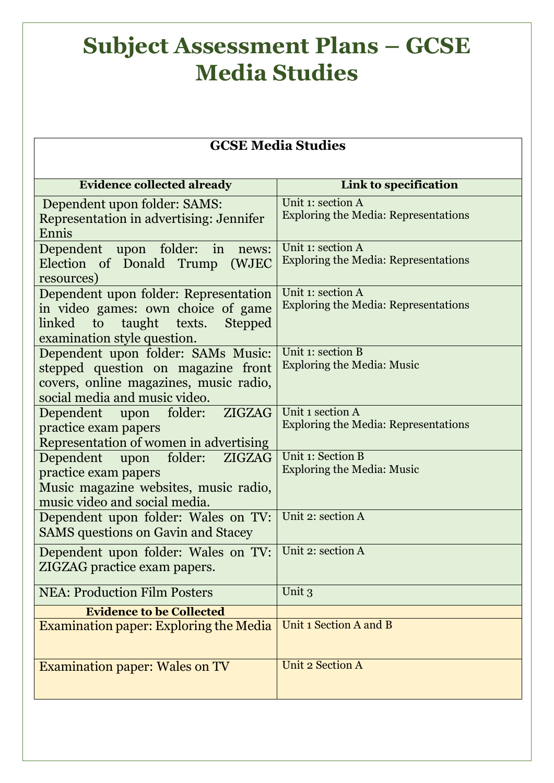## **Subject Assessment Plans – GCSE Media Studies**

| <b>GCSE Media Studies</b>                                                   |                                                                 |
|-----------------------------------------------------------------------------|-----------------------------------------------------------------|
|                                                                             |                                                                 |
| <b>Evidence collected already</b>                                           | Link to specification                                           |
| Dependent upon folder: SAMS:                                                | Unit 1: section A                                               |
| Representation in advertising: Jennifer<br>Ennis                            | <b>Exploring the Media: Representations</b>                     |
| Dependent upon folder:<br>in<br>news:                                       | Unit 1: section A                                               |
| Election of Donald Trump<br>(WJEC                                           | <b>Exploring the Media: Representations</b>                     |
| resources)                                                                  | Unit 1: section A                                               |
| Dependent upon folder: Representation<br>in video games: own choice of game | <b>Exploring the Media: Representations</b>                     |
| taught texts.<br><b>Stepped</b><br>linked to                                |                                                                 |
| examination style question.                                                 |                                                                 |
| Dependent upon folder: SAMs Music:                                          | Unit 1: section B                                               |
| stepped question on magazine front                                          | <b>Exploring the Media: Music</b>                               |
| covers, online magazines, music radio,                                      |                                                                 |
| social media and music video.                                               |                                                                 |
| Dependent upon folder:<br>ZIGZAG                                            | Unit 1 section A<br><b>Exploring the Media: Representations</b> |
| practice exam papers                                                        |                                                                 |
| Representation of women in advertising<br>Dependent upon folder:<br>ZIGZAG  | Unit 1: Section B                                               |
| practice exam papers                                                        | <b>Exploring the Media: Music</b>                               |
| Music magazine websites, music radio,                                       |                                                                 |
| music video and social media.                                               |                                                                 |
| Dependent upon folder: Wales on TV:                                         | Unit 2: section A                                               |
| <b>SAMS</b> questions on Gavin and Stacey                                   |                                                                 |
| Dependent upon folder: Wales on TV:                                         | Unit 2: section A                                               |
| ZIGZAG practice exam papers.                                                |                                                                 |
| <b>NEA: Production Film Posters</b>                                         | Unit 3                                                          |
| <b>Evidence to be Collected</b>                                             |                                                                 |
| <b>Examination paper: Exploring the Media</b>                               | Unit 1 Section A and B                                          |
|                                                                             |                                                                 |
| <b>Examination paper: Wales on TV</b>                                       | <b>Unit 2 Section A</b>                                         |
|                                                                             |                                                                 |